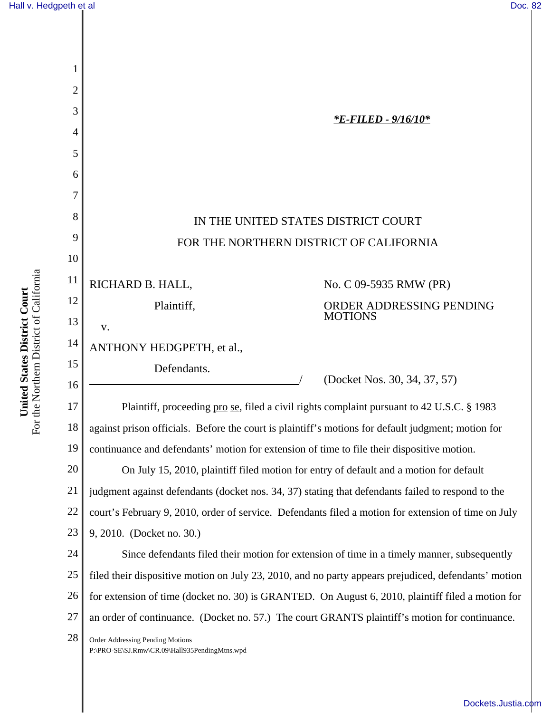